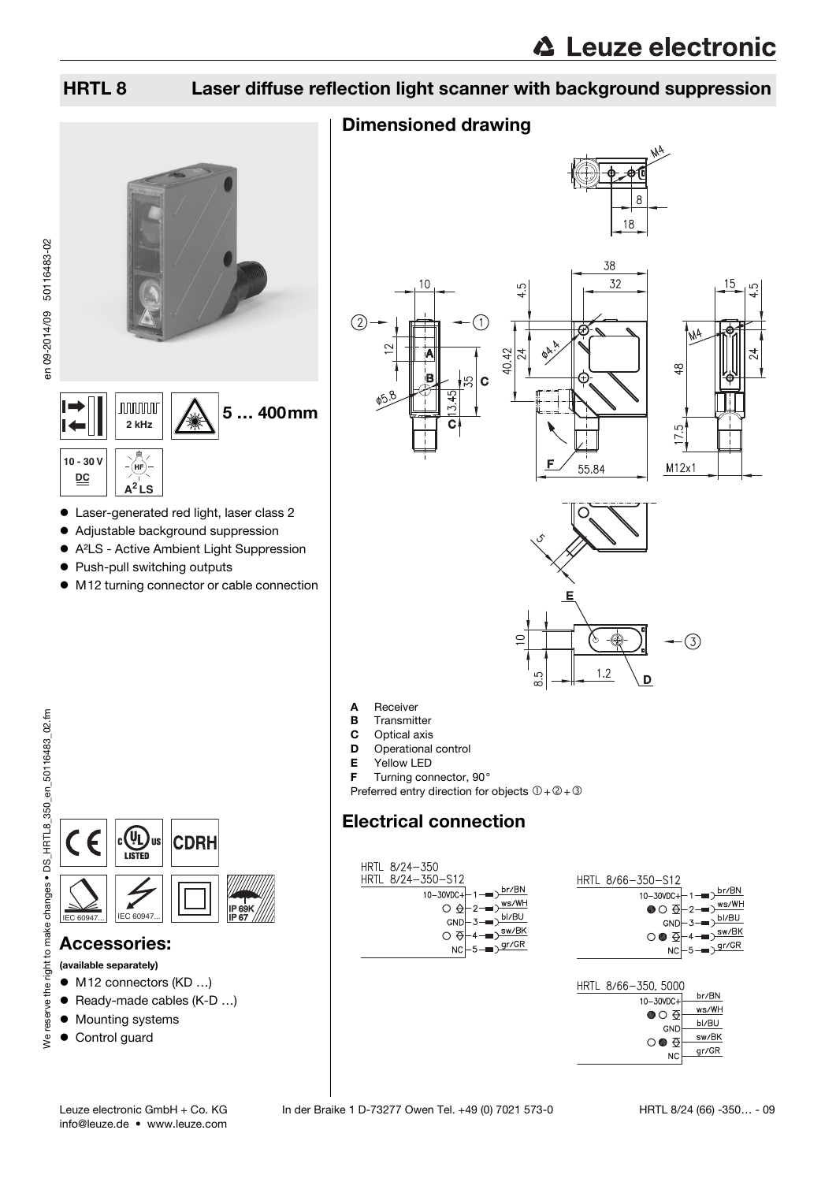## HRTL 8 Laser diffuse reflection light scanner with background suppression

## Dimensioned drawing







A Receiver

- **B** Transmitter
- 
- **C** Optical axis<br>**D** Operational Operational control
- 
- **E** Yellow LED<br>**F** Turning con Turning connector, 90°

Preferred entry direction for objects  $0+2+3$ 

## Electrical connection



| HRTL 8/66-350-S12                                                                                                                                                                                                     |                                                                                 |  |
|-----------------------------------------------------------------------------------------------------------------------------------------------------------------------------------------------------------------------|---------------------------------------------------------------------------------|--|
| 10-30VDC+ - 1-Dbr/BN                                                                                                                                                                                                  |                                                                                 |  |
| $\bullet \circ \overline{\mathsf{Q}}\left.\vphantom{\mathsf{Q}}\right  \left.\vphantom{\mathsf{Q}}\right  \left.\vphantom{\mathsf{Q}}\right) = \left.\vphantom{\mathsf{Q}}\right  \left.\vphantom{\mathsf{Q}}\right)$ |                                                                                 |  |
|                                                                                                                                                                                                                       | $GND - 3$ - $D$ $\underline{D}$ $\underline{D}$ $\underline{D}$ $\underline{D}$ |  |
|                                                                                                                                                                                                                       |                                                                                 |  |
| $\circ \bullet \oplus \leftarrow \leftarrow \searrow \searrow \searrow \searrow$                                                                                                                                      |                                                                                 |  |
|                                                                                                                                                                                                                       | $NC \rightarrow - \sqrt{gr/GR}$                                                 |  |

|       | HRTL 8/66-350, 5000 |  |
|-------|---------------------|--|
| br/BN | 10-30VDC+           |  |
| ws/WH | ●○ Ə                |  |
| bl/BU | GND                 |  |
| sw/BK | ਨ<br>$\circ$ 0      |  |
| gr/GR | <b>NC</b>           |  |
|       |                     |  |

en 09-2014/09 50116483-02

en 09-2014/09 50116483-02

**10 - 30 V DC**



**CDRH** 

 Laser-generated red light, laser class 2 Adjustable background suppression A²LS - Active Ambient Light Suppression

5 … 400mm

 $\bullet$  M12 turning connector or cable connection

• Push-pull switching outputs

**2 kHz**

**nnnnn** 

**A<sup>2</sup> LS**

(HF

## Accessories:

(available separately)

- M12 connectors (KD ...)
- Ready-made cables (K-D ...)
- $\bullet$  Mounting systems
- Control guard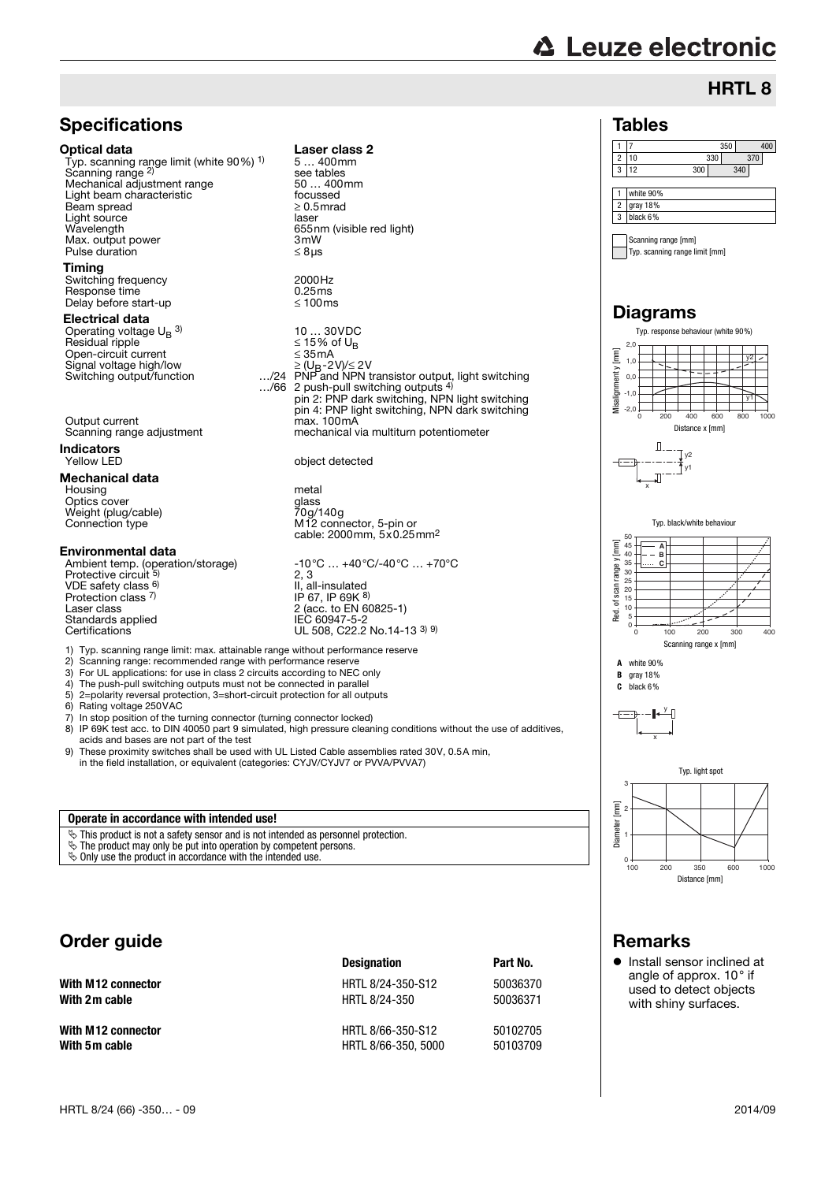## **△ Leuze electronic**

## HRTL 8

#### Tables

#### 1 7 350 400 2 10 330 370 3 12 300 340 1 white 90% 2 gray 18% 3 black 6%

Scanning range [mm] Typ. scanning range limit [mm]

## Diagrams



# Remarks

**•** Install sensor inclined at angle of approx. 10° if used to detect objects with shiny surfaces.

#### Optical data Laser class 2 Typ. scanning range limit (white 90%) 1) Scanning range <sup>2)</sup> Mechanical adjustment range 50 ... 400<br>
Light beam characteristic 60 mm Light beam characteristic focussed<br>
Ream spread
<br>  $> 0.5$  mrad

Beam spread  $\geq 0.5$ <br>light source laser Light source<br>Wavelength Max. output power  $\begin{array}{ccc}\n\text{Max. output power} \\
\text{Pulse duration} & \leq \text{8} \mu\end{array}$ Pulse duration **Timing** Switching frequency 2000Hz<br>Response time 2000Hz Response time  $\frac{1}{2}$  0.25ms 0.25ms Delay before start-up Electrical data Operating voltage  $\mathsf{U_{B}}^{\phantom{\dag}}$  3)

**Specifications** 

Residual ripple  $\leq 15\%$  of U<sub>B</sub> Open-circuit current ≤ 35mA Signal voltage high/low<br>Switching output/function  $\ldots/24$ 

Output current max. 100mA<br>Scanning range adjustment mechanical v

**Indicators**<br>Yellow LED

#### Mechanical data

Housing metal<br>Optics cover Optics cover Weight (plug/cable)<br>Connection type

#### Environmental data

VDE safety class 6) Protection class 7) Laser class 2 (acc. to EN 60825-1)<br>
Standards applied<br>
2 (acc. to EN 60825-1)<br>
IEC 60947-5-2 Standards applied IEC 60947-5-2 Certifications UL 508, C22.2 No.14-13 3) 9)

10 ... 30VDC<br> $\leq$  15% of U<sub>B</sub>  $\geq$  (U<sub>B</sub>-2V)/ $\leq$  2V<br>PNP and NPN transistor output, light switching …/66 2 push-pull switching outputs 4) pin 2: PNP dark switching, NPN light switching pin 4: PNP light switching, NPN dark switching mechanical via multiturn potentiometer object detected

> yiaso<br>70g/140g<br>M12 connector, 5-pin or cable: 2000mm, 5x0.25mm2

5 … 400mm

see tables<br>50 ... 400mm

nsee.<br>655nm (visible red light)<br>3mW

Ambient temp. (operation/storage) -10°C … +40°C/-40°C … +70°C<br>Protective circuit <sup>5)</sup> 2, 3  $2, 3$ II, all-insulated<br>IP 67, IP 69K <sup>8)</sup>

1) Typ. scanning range limit: max. attainable range without performance reserve

- Scanning range: recommended range with performance reserve
- 3) For UL applications: for use in class 2 circuits according to NEC only<br>4) The push-pull switching outputs must not be connected in parallel
- 4) The push-pull switching outputs must not be connected in parallel<br>5)  $2$ =polarity reversal protection  $3$ =short-circuit protection for all output 5) 2=polarity reversal protection, 3=short-circuit protection for all outputs
- 
- 6) Rating voltage 250 VAC<br>7) In stop position of the tu 7) In stop position of the turning connector (turning connector locked)<br>
8) IP 69K test acc. to DIN 40050 part 9 simulated. high pressure clear
- IP 69K test acc. to DIN 40050 part 9 simulated, high pressure cleaning conditions without the use of additives, acids and bases are not part of the test
- 9) These proximity switches shall be used with UL Listed Cable assemblies rated 30V, 0.5A min, in the field installation, or equivalent (categories: CYJV/CYJV7 or PVVA/PVVA7)

#### **Operate in accordance with intended use!**

 $\ddot{\mathbf{\triangleright}}$  This product is not a safety sensor and is not intended as personnel protection.

 $\ddot{\mathfrak{B}}$  The product may only be put into operation by competent persons.

 $\&$  Only use the product in accordance with the intended use.

## Order guide

|                    | <b>Designation</b>  | Part No. |
|--------------------|---------------------|----------|
| With M12 connector | HRTL 8/24-350-S12   | 50036370 |
| With 2m cable      | HRTL 8/24-350       | 50036371 |
| With M12 connector | HRTL 8/66-350-S12   | 50102705 |
| With 5m cable      | HRTL 8/66-350, 5000 | 50103709 |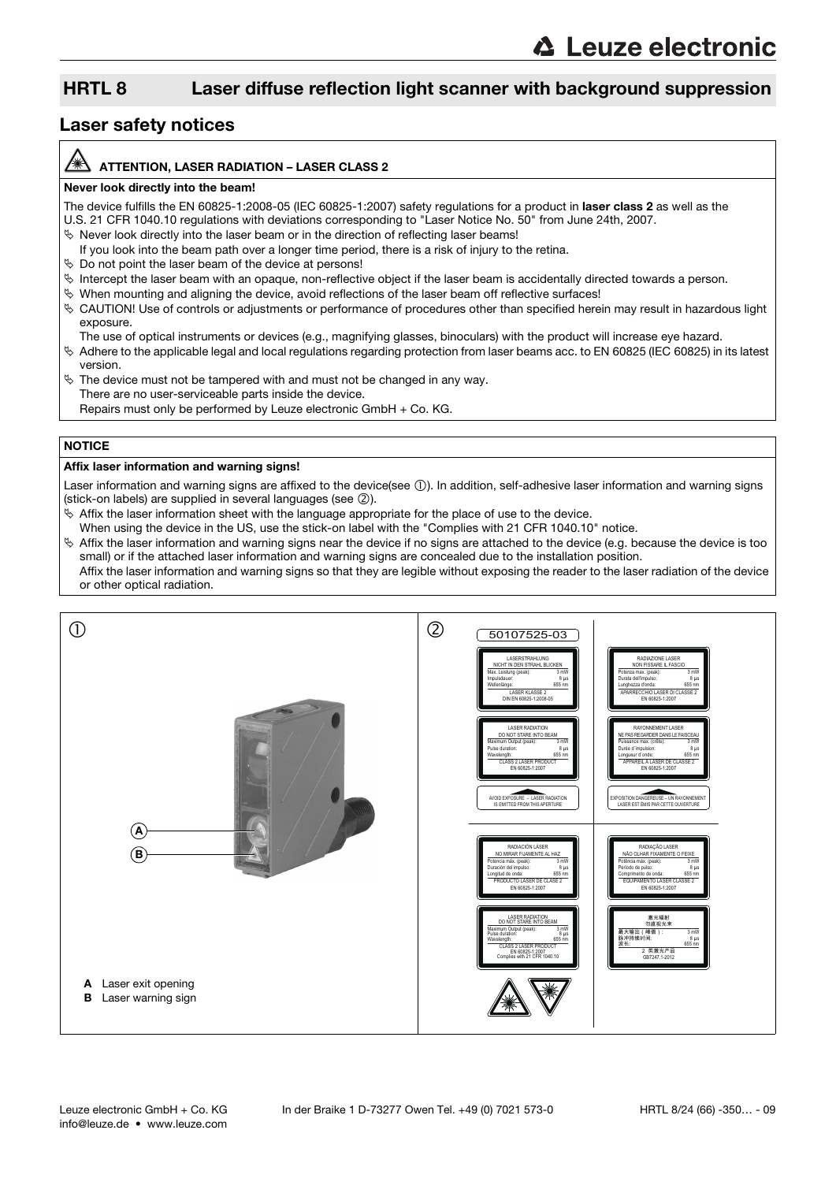## HRTL 8 Laser diffuse reflection light scanner with background suppression

### Laser safety notices

#### ATTENTION, LASER RADIATION – LASER CLASS 2

#### Never look directly into the beam!

The device fulfills the EN 60825-1:2008-05 (IEC 60825-1:2007) safety regulations for a product in laser class 2 as well as the U.S. 21 CFR 1040.10 regulations with deviations corresponding to "Laser Notice No. 50" from June 24th, 2007.

- $\%$  Never look directly into the laser beam or in the direction of reflecting laser beams!
- If you look into the beam path over a longer time period, there is a risk of injury to the retina.
- $\%$  Do not point the laser beam of the device at persons!
- $\%$  Intercept the laser beam with an opaque, non-reflective object if the laser beam is accidentally directed towards a person.
- When mounting and aligning the device, avoid reflections of the laser beam off reflective surfaces!
- CAUTION! Use of controls or adjustments or performance of procedures other than specified herein may result in hazardous light exposure.
	- The use of optical instruments or devices (e.g., magnifying glasses, binoculars) with the product will increase eye hazard.
- $\%$  Adhere to the applicable legal and local regulations regarding protection from laser beams acc. to EN 60825 (IEC 60825) in its latest version.
- $\%$  The device must not be tampered with and must not be changed in any way. There are no user-serviceable parts inside the device. Repairs must only be performed by Leuze electronic GmbH + Co. KG.

#### **NOTICE**

#### Affix laser information and warning signs!

Laser information and warning signs are affixed to the device(see  $(1)$ ). In addition, self-adhesive laser information and warning signs (stick-on labels) are supplied in several languages (see  $(2)$ ).

- $\%$  Affix the laser information sheet with the language appropriate for the place of use to the device.
- When using the device in the US, use the stick-on label with the "Complies with 21 CFR 1040.10" notice.
- $\%$  Affix the laser information and warning signs near the device if no signs are attached to the device (e.g. because the device is too small) or if the attached laser information and warning signs are concealed due to the installation position. Affix the laser information and warning signs so that they are legible without exposing the reader to the laser radiation of the device or other optical radiation.